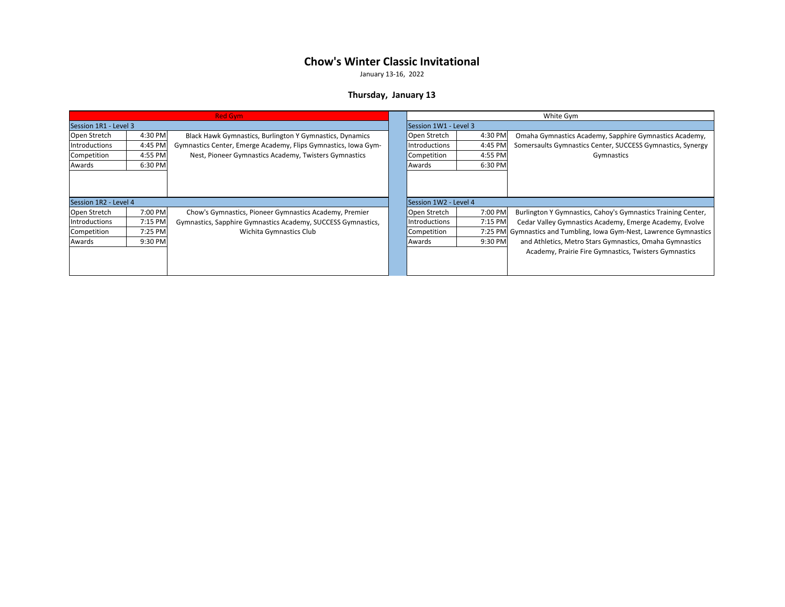January 13-16, 2022

#### **Thursday, January 13**

| <b>Red Gym</b>        |         |                                                                |  | White Gym             |         |                                                                     |
|-----------------------|---------|----------------------------------------------------------------|--|-----------------------|---------|---------------------------------------------------------------------|
| Session 1R1 - Level 3 |         |                                                                |  | Session 1W1 - Level 3 |         |                                                                     |
| Open Stretch          | 4:30 PM | Black Hawk Gymnastics, Burlington Y Gymnastics, Dynamics       |  | Open Stretch          | 4:30 PM | Omaha Gymnastics Academy, Sapphire Gymnastics Academy,              |
| Introductions         | 4:45 PM | Gymnastics Center, Emerge Academy, Flips Gymnastics, Iowa Gym- |  | Introductions         | 4:45 PM | Somersaults Gymnastics Center, SUCCESS Gymnastics, Synergy          |
| Competition           | 4:55 PM | Nest, Pioneer Gymnastics Academy, Twisters Gymnastics          |  | Competition           | 4:55 PM | Gymnastics                                                          |
| Awards                | 6:30 PM |                                                                |  | Awards                | 6:30 PM |                                                                     |
|                       |         |                                                                |  |                       |         |                                                                     |
| Session 1R2 - Level 4 |         |                                                                |  | Session 1W2 - Level 4 |         |                                                                     |
| Open Stretch          | 7:00 PM | Chow's Gymnastics, Pioneer Gymnastics Academy, Premier         |  | Open Stretch          | 7:00 PM | Burlington Y Gymnastics, Cahoy's Gymnastics Training Center,        |
| Introductions         | 7:15 PM | Gymnastics, Sapphire Gymnastics Academy, SUCCESS Gymnastics,   |  | Introductions         | 7:15 PM | Cedar Valley Gymnastics Academy, Emerge Academy, Evolve             |
| Competition           | 7:25 PM | Wichita Gymnastics Club                                        |  | Competition           |         | 7:25 PM Gymnastics and Tumbling, Iowa Gym-Nest, Lawrence Gymnastics |
| Awards                | 9:30 PM |                                                                |  | Awards                | 9:30 PM | and Athletics, Metro Stars Gymnastics, Omaha Gymnastics             |
|                       |         |                                                                |  |                       |         | Academy, Prairie Fire Gymnastics, Twisters Gymnastics               |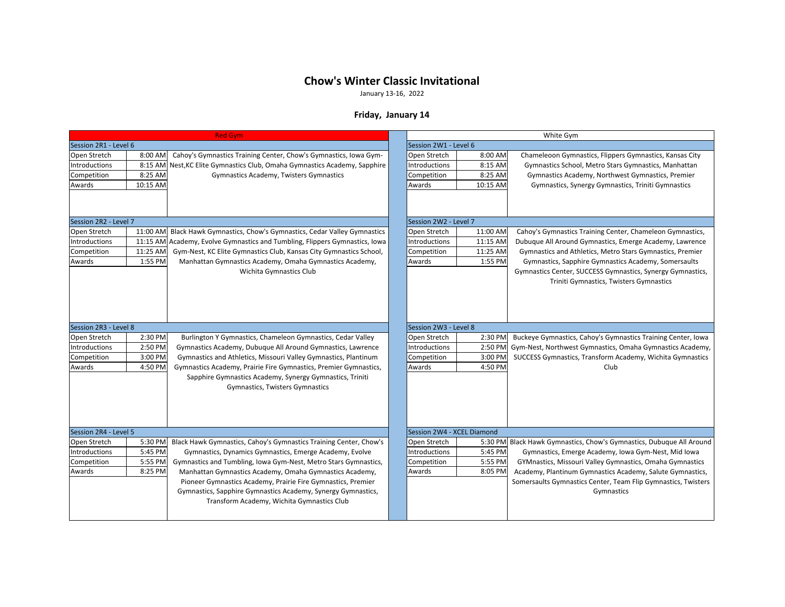January 13-16, 2022

### **Friday, January 14**

|                               | <b>Red Gym</b>     |                                                                                                                            | White Gym |                                      |                    |                                                                                                                           |  |
|-------------------------------|--------------------|----------------------------------------------------------------------------------------------------------------------------|-----------|--------------------------------------|--------------------|---------------------------------------------------------------------------------------------------------------------------|--|
| Session 2R1 - Level 6         |                    |                                                                                                                            |           | Session 2W1 - Level 6                |                    |                                                                                                                           |  |
| Open Stretch                  | 8:00 AM            | Cahoy's Gymnastics Training Center, Chow's Gymnastics, Iowa Gym-                                                           |           | Open Stretch                         | 8:00 AM            | Chameleoon Gymnastics, Flippers Gymnastics, Kansas City                                                                   |  |
| Introductions                 | 8:15 AM            | Nest, KC Elite Gymnastics Club, Omaha Gymnastics Academy, Sapphire                                                         |           | Introductions                        | 8:15 AM            | Gymnastics School, Metro Stars Gymnastics, Manhattan                                                                      |  |
| Competition                   | 8:25 AM            | Gymnastics Academy, Twisters Gymnastics                                                                                    |           | Competition                          | 8:25 AM            | Gymnastics Academy, Northwest Gymnastics, Premier                                                                         |  |
| Awards                        | 10:15 AM           |                                                                                                                            |           | Awards                               | 10:15 AM           | Gymnastics, Synergy Gymnastics, Triniti Gymnastics                                                                        |  |
|                               |                    |                                                                                                                            |           |                                      |                    |                                                                                                                           |  |
| Session 2R2 - Level 7         |                    |                                                                                                                            |           | Session 2W2 - Level 7                |                    |                                                                                                                           |  |
| Open Stretch                  | 11:00 AM           | Black Hawk Gymnastics, Chow's Gymnastics, Cedar Valley Gymnastics                                                          |           | Open Stretch                         | 11:00 AM           | Cahoy's Gymnastics Training Center, Chameleon Gymnastics,                                                                 |  |
| Introductions                 |                    | 11:15 AM Academy, Evolve Gymnastics and Tumbling, Flippers Gymnastics, Iowa                                                |           | Introductions                        | 11:15 AM           | Dubuque All Around Gymnastics, Emerge Academy, Lawrence                                                                   |  |
| Competition                   | 11:25 AM           | Gym-Nest, KC Elite Gymnastics Club, Kansas City Gymnastics School,                                                         |           | Competition                          | 11:25 AM           | Gymnastics and Athletics, Metro Stars Gymnastics, Premier                                                                 |  |
| Awards                        | 1:55 PM            | Manhattan Gymnastics Academy, Omaha Gymnastics Academy,                                                                    |           | Awards                               | 1:55 PM            | Gymnastics, Sapphire Gymnastics Academy, Somersaults                                                                      |  |
|                               |                    | Wichita Gymnastics Club                                                                                                    |           |                                      |                    | Gymnastics Center, SUCCESS Gymnastics, Synergy Gymnastics,                                                                |  |
|                               |                    |                                                                                                                            |           |                                      |                    | Triniti Gymnastics, Twisters Gymnastics                                                                                   |  |
|                               |                    |                                                                                                                            |           | Session 2W3 - Level 8                |                    |                                                                                                                           |  |
| Session 2R3 - Level 8         |                    |                                                                                                                            |           |                                      |                    |                                                                                                                           |  |
| Open Stretch<br>Introductions | 2:30 PM<br>2:50 PM | Burlington Y Gymnastics, Chameleon Gymnastics, Cedar Valley<br>Gymnastics Academy, Dubuque All Around Gymnastics, Lawrence |           | Open Stretch<br><b>Introductions</b> | 2:30 PM<br>2:50 PM | Buckeye Gymnastics, Cahoy's Gymnastics Training Center, Iowa<br>Gym-Nest, Northwest Gymnastics, Omaha Gymnastics Academy, |  |
| Competition                   | 3:00 PM            | Gymnastics and Athletics, Missouri Valley Gymnastics, Plantinum                                                            |           |                                      |                    | SUCCESS Gymnastics, Transform Academy, Wichita Gymnastics                                                                 |  |
| Awards                        | 4:50 PM            | Gymnastics Academy, Prairie Fire Gymnastics, Premier Gymnastics,                                                           |           | Competition<br>Awards                | 3:00 PM<br>4:50 PM | Club                                                                                                                      |  |
|                               |                    |                                                                                                                            |           |                                      |                    |                                                                                                                           |  |
|                               |                    | Sapphire Gymnastics Academy, Synergy Gymnastics, Triniti                                                                   |           |                                      |                    |                                                                                                                           |  |
|                               |                    | <b>Gymnastics, Twisters Gymnastics</b>                                                                                     |           |                                      |                    |                                                                                                                           |  |
|                               |                    |                                                                                                                            |           |                                      |                    |                                                                                                                           |  |
|                               |                    |                                                                                                                            |           |                                      |                    |                                                                                                                           |  |
|                               |                    |                                                                                                                            |           |                                      |                    |                                                                                                                           |  |
| Session 2R4 - Level 5         |                    |                                                                                                                            |           | Session 2W4 - XCEL Diamond           |                    |                                                                                                                           |  |
| Open Stretch                  | 5:30 PM            | Black Hawk Gymnastics, Cahoy's Gymnastics Training Center, Chow's                                                          |           | Open Stretch                         |                    | 5:30 PM Black Hawk Gymnastics, Chow's Gymnastics, Dubuque All Around                                                      |  |
| Introductions                 | 5:45 PM            | Gymnastics, Dynamics Gymnastics, Emerge Academy, Evolve                                                                    |           | Introductions                        | 5:45 PM            | Gymnastics, Emerge Academy, Iowa Gym-Nest, Mid Iowa                                                                       |  |
| Competition                   | 5:55 PM            | Gymnastics and Tumbling, Iowa Gym-Nest, Metro Stars Gymnastics,                                                            |           | Competition                          | 5:55 PM            | GYMnastics, Missouri Valley Gymnastics, Omaha Gymnastics                                                                  |  |
| Awards                        | 8:25 PM            | Manhattan Gymnastics Academy, Omaha Gymnastics Academy,                                                                    |           | Awards                               | 8:05 PM            | Academy, Plantinum Gymnastics Academy, Salute Gymnastics,                                                                 |  |
|                               |                    | Pioneer Gymnastics Academy, Prairie Fire Gymnastics, Premier                                                               |           |                                      |                    | Somersaults Gymnastics Center, Team Flip Gymnastics, Twisters                                                             |  |
|                               |                    | Gymnastics, Sapphire Gymnastics Academy, Synergy Gymnastics,                                                               |           |                                      |                    | Gymnastics                                                                                                                |  |
|                               |                    | Transform Academy, Wichita Gymnastics Club                                                                                 |           |                                      |                    |                                                                                                                           |  |
|                               |                    |                                                                                                                            |           |                                      |                    |                                                                                                                           |  |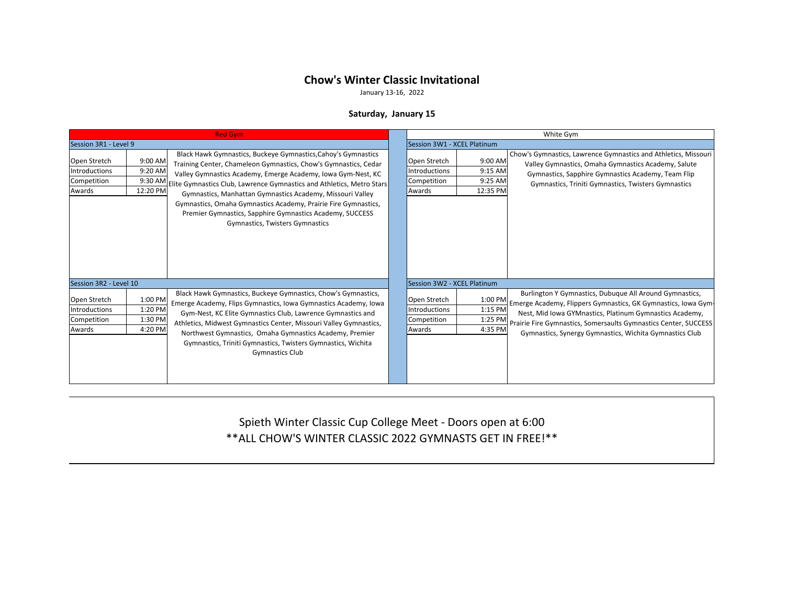January 13-16, 2022

### **Saturday, January 15**

| <b>Red Gym</b>                                         |                                          |                                                                                                                                                                                                                                                                                                                                                                                                                                                                                                                        |                                                               |                                           | White Gym                                                                                                                                                                                                                                                                                                                |
|--------------------------------------------------------|------------------------------------------|------------------------------------------------------------------------------------------------------------------------------------------------------------------------------------------------------------------------------------------------------------------------------------------------------------------------------------------------------------------------------------------------------------------------------------------------------------------------------------------------------------------------|---------------------------------------------------------------|-------------------------------------------|--------------------------------------------------------------------------------------------------------------------------------------------------------------------------------------------------------------------------------------------------------------------------------------------------------------------------|
| Session 3R1 - Level 9                                  |                                          |                                                                                                                                                                                                                                                                                                                                                                                                                                                                                                                        | Session 3W1 - XCEL Platinum                                   |                                           |                                                                                                                                                                                                                                                                                                                          |
| Open Stretch<br>Introductions<br>Competition<br>Awards | 9:00 AM<br>9:20 AM<br>12:20 PM           | Black Hawk Gymnastics, Buckeye Gymnastics, Cahoy's Gymnastics<br>Training Center, Chameleon Gymnastics, Chow's Gymnastics, Cedar<br>Valley Gymnastics Academy, Emerge Academy, Iowa Gym-Nest, KC<br>9:30 AM Elite Gymnastics Club, Lawrence Gymnastics and Athletics, Metro Stars<br>Gymnastics, Manhattan Gymnastics Academy, Missouri Valley<br>Gymnastics, Omaha Gymnastics Academy, Prairie Fire Gymnastics,<br>Premier Gymnastics, Sapphire Gymnastics Academy, SUCCESS<br><b>Gymnastics, Twisters Gymnastics</b> | Open Stretch<br><b>Introductions</b><br>Competition<br>Awards | 9:00 AM<br>9:15 AM<br>9:25 AM<br>12:35 PM | Chow's Gymnastics, Lawrence Gymnastics and Athletics, Missouri<br>Valley Gymnastics, Omaha Gymnastics Academy, Salute<br>Gymnastics, Sapphire Gymnastics Academy, Team Flip<br>Gymnastics, Triniti Gymnastics, Twisters Gymnastics                                                                                       |
| Session 3R2 - Level 10                                 |                                          |                                                                                                                                                                                                                                                                                                                                                                                                                                                                                                                        | Session 3W2 - XCEL Platinum                                   |                                           |                                                                                                                                                                                                                                                                                                                          |
| Open Stretch<br>Introductions<br>Competition<br>Awards | 1:00 PM<br>1:20 PM<br>1:30 PM<br>4:20 PM | Black Hawk Gymnastics, Buckeye Gymnastics, Chow's Gymnastics,<br>Emerge Academy, Flips Gymnastics, Iowa Gymnastics Academy, Iowa<br>Gym-Nest, KC Elite Gymnastics Club, Lawrence Gymnastics and<br>Athletics, Midwest Gymnastics Center, Missouri Valley Gymnastics,<br>Northwest Gymnastics, Omaha Gymnastics Academy, Premier<br>Gymnastics, Triniti Gymnastics, Twisters Gymnastics, Wichita<br><b>Gymnastics Club</b>                                                                                              | Open Stretch<br><b>Introductions</b><br>Competition<br>Awards | 1:15 PM<br>1:25 PM<br>4:35 PM             | Burlington Y Gymnastics, Dubuque All Around Gymnastics,<br>1:00 PM Emerge Academy, Flippers Gymnastics, GK Gymnastics, Iowa Gym<br>Nest, Mid Iowa GYMnastics, Platinum Gymnastics Academy,<br>Prairie Fire Gymnastics, Somersaults Gymnastics Center, SUCCESS<br>Gymnastics, Synergy Gymnastics, Wichita Gymnastics Club |

Spieth Winter Classic Cup College Meet - Doors open at 6:00 \*\*ALL CHOW'S WINTER CLASSIC 2022 GYMNASTS GET IN FREE!\*\*